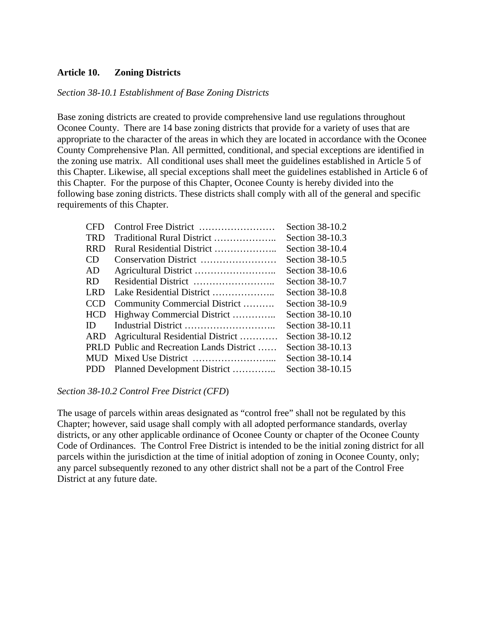## **Article 10. Zoning Districts**

#### *Section 38-10.1 Establishment of Base Zoning Districts*

Base zoning districts are created to provide comprehensive land use regulations throughout Oconee County. There are 14 base zoning districts that provide for a variety of uses that are appropriate to the character of the areas in which they are located in accordance with the Oconee County Comprehensive Plan. All permitted, conditional, and special exceptions are identified in the zoning use matrix. All conditional uses shall meet the guidelines established in Article 5 of this Chapter. Likewise, all special exceptions shall meet the guidelines established in Article 6 of this Chapter. For the purpose of this Chapter, Oconee County is hereby divided into the following base zoning districts. These districts shall comply with all of the general and specific requirements of this Chapter.

| <b>CED</b> |                                           | Section 38-10.2  |
|------------|-------------------------------------------|------------------|
| <b>TRD</b> | Traditional Rural District                | Section 38-10.3  |
| <b>RRD</b> | Rural Residential District                | Section 38-10.4  |
| <b>CD</b>  | Conservation District                     | Section 38-10.5  |
| AD.        |                                           | Section 38-10.6  |
| <b>RD</b>  |                                           | Section 38-10.7  |
| LRD        | Lake Residential District                 | Section 38-10.8  |
| <b>CCD</b> | Community Commercial District             | Section 38-10.9  |
| <b>HCD</b> | Highway Commercial District               | Section 38-10.10 |
| ID.        |                                           | Section 38-10.11 |
| ARD        | Agricultural Residential District         | Section 38-10.12 |
|            | PRLD Public and Recreation Lands District | Section 38-10.13 |
| <b>MUD</b> |                                           | Section 38-10.14 |
| <b>PDD</b> | Planned Development District              | Section 38-10.15 |
|            |                                           |                  |

#### *Section 38-10.2 Control Free District (CFD*)

The usage of parcels within areas designated as "control free" shall not be regulated by this Chapter; however, said usage shall comply with all adopted performance standards, overlay districts, or any other applicable ordinance of Oconee County or chapter of the Oconee County Code of Ordinances. The Control Free District is intended to be the initial zoning district for all parcels within the jurisdiction at the time of initial adoption of zoning in Oconee County, only; any parcel subsequently rezoned to any other district shall not be a part of the Control Free District at any future date.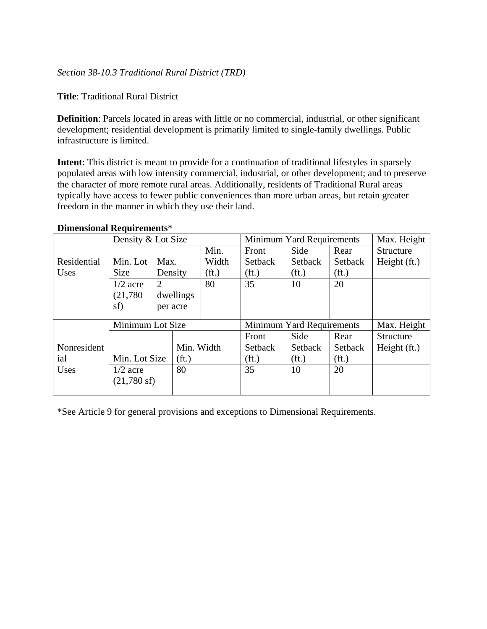**Title**: Traditional Rural District

**Definition**: Parcels located in areas with little or no commercial, industrial, or other significant development; residential development is primarily limited to single-family dwellings. Public infrastructure is limited.

**Intent**: This district is meant to provide for a continuation of traditional lifestyles in sparsely populated areas with low intensity commercial, industrial, or other development; and to preserve the character of more remote rural areas. Additionally, residents of Traditional Rural areas typically have access to fewer public conveniences than more urban areas, but retain greater freedom in the manner in which they use their land.

|             | Density & Lot Size    |                                          |            |                   |                           | Minimum Yard Requirements |                   | Max. Height      |
|-------------|-----------------------|------------------------------------------|------------|-------------------|---------------------------|---------------------------|-------------------|------------------|
|             |                       |                                          |            | Min.              | Front                     | Side                      | Rear              | Structure        |
| Residential | Min. Lot              | Max.                                     |            | Width             | Setback                   | Setback                   | Setback           | Height (ft.)     |
| Uses        | <b>Size</b>           |                                          | Density    | (f <sub>t</sub> ) | (f <sub>t</sub> )         | (f <sub>t</sub> )         | (f <sub>t</sub> ) |                  |
|             | $1/2$ acre            | $\overline{2}$                           |            | 80                | 35                        | 10                        | 20                |                  |
|             | (21,780)              |                                          | dwellings  |                   |                           |                           |                   |                  |
|             | sf)                   |                                          | per acre   |                   |                           |                           |                   |                  |
|             |                       |                                          |            |                   |                           |                           |                   |                  |
|             | Minimum Lot Size      |                                          |            |                   | Minimum Yard Requirements |                           |                   | Max. Height      |
|             |                       |                                          |            |                   | Front                     | Side                      | Rear              | <b>Structure</b> |
| Nonresident |                       |                                          | Min. Width |                   | Setback                   | Setback                   | Setback           | Height (ft.)     |
| ial         |                       | Min. Lot Size<br>(f <sub>t</sub> )<br>80 |            |                   | (f <sub>t</sub> )         | (f <sub>t</sub> )         | (f <sub>t</sub> ) |                  |
| Uses        | $1/2$ acre            |                                          |            |                   | 35                        | 10                        | 20                |                  |
|             | $(21,780 \text{ sf})$ |                                          |            |                   |                           |                           |                   |                  |
|             |                       |                                          |            |                   |                           |                           |                   |                  |

### **Dimensional Requirements**\*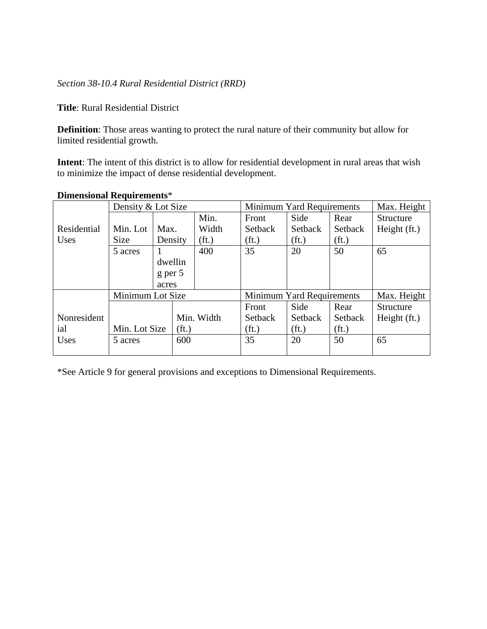# *Section 38-10.4 Rural Residential District (RRD)*

**Title**: Rural Residential District

**Definition**: Those areas wanting to protect the rural nature of their community but allow for limited residential growth.

**Intent**: The intent of this district is to allow for residential development in rural areas that wish to minimize the impact of dense residential development.

|             | Density & Lot Size |                   |     |                   |                           | Minimum Yard Requirements |                   | Max. Height  |
|-------------|--------------------|-------------------|-----|-------------------|---------------------------|---------------------------|-------------------|--------------|
|             |                    |                   |     | Min.              | Front                     | Side                      | Rear              | Structure    |
| Residential | Min. Lot           | Max.              |     | Width             | Setback                   | Setback                   | Setback           | Height (ft.) |
| Uses        | <b>Size</b>        | Density           |     | (f <sub>t</sub> ) | (f <sub>t</sub> )         | (f <sub>t</sub> )         | (f <sub>t</sub> ) |              |
|             | 5 acres            |                   |     | 400               | 35                        | 20                        | 50                | 65           |
|             |                    | dwellin           |     |                   |                           |                           |                   |              |
|             |                    | $g$ per 5         |     |                   |                           |                           |                   |              |
|             |                    | acres             |     |                   |                           |                           |                   |              |
|             | Minimum Lot Size   |                   |     |                   | Minimum Yard Requirements |                           |                   | Max. Height  |
|             |                    |                   |     |                   | Front                     | Side                      | Rear              | Structure    |
| Nonresident |                    | (f <sub>t</sub> ) |     | Min. Width        | Setback                   | Setback                   | Setback           | Height (ft.) |
| ial         | Min. Lot Size      |                   |     |                   | (f <sub>t</sub> )         | (f <sub>t</sub> )         | (f <sub>t</sub> ) |              |
| Uses        | 5 acres            |                   | 600 |                   | 35                        | 20                        | 50                | 65           |
|             |                    |                   |     |                   |                           |                           |                   |              |

### **Dimensional Requirements**\*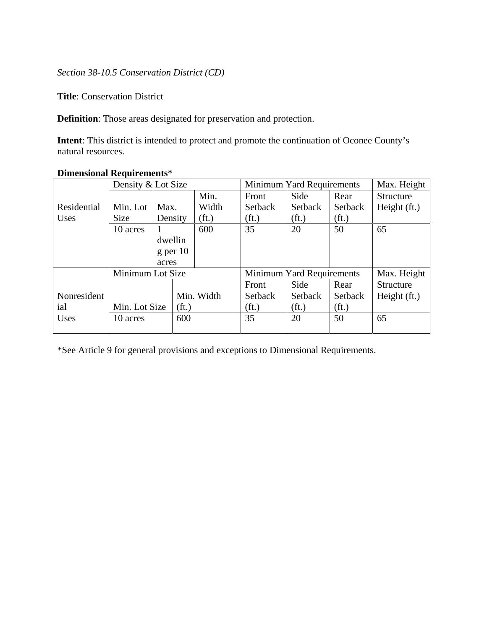### *Section 38-10.5 Conservation District (CD)*

**Title**: Conservation District

**Definition**: Those areas designated for preservation and protection.

**Intent**: This district is intended to protect and promote the continuation of Oconee County's natural resources.

|             | Density & Lot Size |         |                   |                   |                   | Minimum Yard Requirements |                   |                  |  |
|-------------|--------------------|---------|-------------------|-------------------|-------------------|---------------------------|-------------------|------------------|--|
|             |                    |         |                   | Min.              | Front             | Side                      | Rear              | Structure        |  |
| Residential | Min. Lot           | Max.    |                   | Width             | Setback           | Setback                   | Setback           | Height (ft.)     |  |
| Uses        | <b>Size</b>        | Density |                   | (f <sub>t</sub> ) | (f <sub>t</sub> ) | (f <sub>t</sub> )         | (f <sub>t</sub> ) |                  |  |
|             | 10 acres           |         |                   | 600               | 35                | 20                        | 50                | 65               |  |
|             |                    | dwellin |                   |                   |                   |                           |                   |                  |  |
|             |                    |         | $g$ per 10        |                   |                   |                           |                   |                  |  |
|             |                    | acres   |                   |                   |                   |                           |                   |                  |  |
|             | Minimum Lot Size   |         |                   |                   |                   | Minimum Yard Requirements |                   | Max. Height      |  |
|             |                    |         |                   |                   | Front             | Side                      | Rear              | <b>Structure</b> |  |
| Nonresident |                    |         |                   | Min. Width        | Setback           | <b>Setback</b>            | Setback           | Height (ft.)     |  |
| ial         | Min. Lot Size      |         | (f <sub>t</sub> ) |                   | (f <sub>t</sub> ) | (f <sub>t</sub> )         | (f <sub>t</sub> ) |                  |  |
| Uses        | 10 acres           |         | 600               |                   | 35                | 20                        | 50                | 65               |  |
|             |                    |         |                   |                   |                   |                           |                   |                  |  |

# **Dimensional Requirements**\*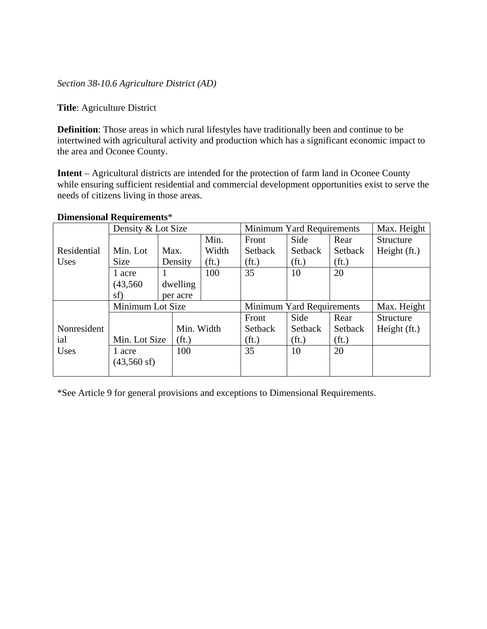*Section 38-10.6 Agriculture District (AD)* 

**Title**: Agriculture District

**Definition**: Those areas in which rural lifestyles have traditionally been and continue to be intertwined with agricultural activity and production which has a significant economic impact to the area and Oconee County.

**Intent** – Agricultural districts are intended for the protection of farm land in Oconee County while ensuring sufficient residential and commercial development opportunities exist to serve the needs of citizens living in those areas.

|             | Density & Lot Size                                  |      |            |                   | Minimum Yard Requirements |                                          |                   | Max. Height      |  |
|-------------|-----------------------------------------------------|------|------------|-------------------|---------------------------|------------------------------------------|-------------------|------------------|--|
|             |                                                     |      |            | Min.              | Front                     | Side                                     | Rear              | Structure        |  |
| Residential | Min. Lot                                            | Max. |            | Width             | Setback                   | Setback                                  | Setback           | Height (ft.)     |  |
| Uses        | <b>Size</b>                                         |      | Density    | (f <sub>t</sub> ) | (f <sub>t</sub> )         | (f <sub>t</sub> )                        | (f <sub>t</sub> ) |                  |  |
|             | 1 acre                                              |      |            | 100               | 35                        | 10                                       | 20                |                  |  |
|             | (43,560)                                            |      | dwelling   |                   |                           |                                          |                   |                  |  |
|             | sf)                                                 |      | per acre   |                   |                           |                                          |                   |                  |  |
|             | Minimum Lot Size                                    |      |            |                   |                           | Minimum Yard Requirements<br>Max. Height |                   |                  |  |
|             |                                                     |      |            |                   | Front                     | Side                                     | Rear              | <b>Structure</b> |  |
| Nonresident |                                                     |      | Min. Width |                   | <b>Setback</b>            | Setback                                  | Setback           | Height (ft.)     |  |
| ial         | Min. Lot Size<br>(f <sub>t</sub> )<br>100<br>1 acre |      |            |                   | (f <sub>t</sub> )         | (f <sub>t</sub> )                        | (f <sub>t</sub> ) |                  |  |
| Uses        |                                                     |      |            |                   | 35                        | 10                                       | 20                |                  |  |
|             | $(43,560 \text{ sf})$                               |      |            |                   |                           |                                          |                   |                  |  |
|             |                                                     |      |            |                   |                           |                                          |                   |                  |  |

#### **Dimensional Requirements**\*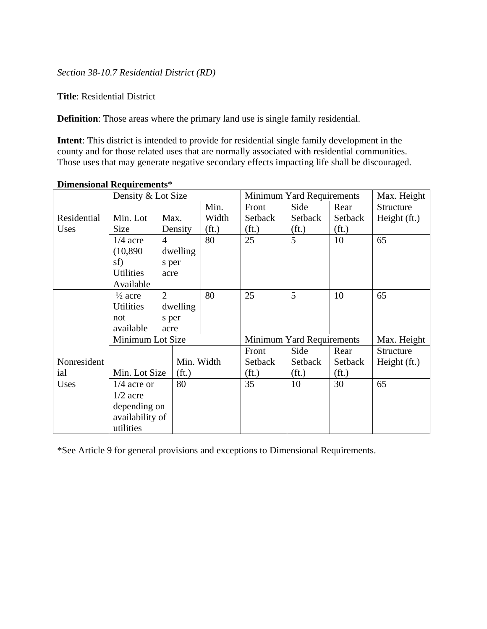# *Section 38-10.7 Residential District (RD)*

**Title**: Residential District

**Definition**: Those areas where the primary land use is single family residential.

**Intent**: This district is intended to provide for residential single family development in the county and for those related uses that are normally associated with residential communities. Those uses that may generate negative secondary effects impacting life shall be discouraged.

|             | Density & Lot Size |                |                   |                   |                           | Minimum Yard Requirements |                   |                |  |
|-------------|--------------------|----------------|-------------------|-------------------|---------------------------|---------------------------|-------------------|----------------|--|
|             |                    |                |                   | Min.              | Front                     | Side                      | Rear              | Structure      |  |
| Residential | Min. Lot           | Max.           |                   | Width             | Setback                   | Setback                   | Setback           | Height (ft.)   |  |
| Uses        | <b>Size</b>        | Density        |                   | (f <sub>t</sub> ) | (f <sub>t</sub> )         | (f <sub>t</sub> )         | (f <sub>t</sub> ) |                |  |
|             | $1/4$ acre         | $\overline{4}$ |                   | 80                | 25                        | 5                         | 10                | 65             |  |
|             | (10, 890)          | dwelling       |                   |                   |                           |                           |                   |                |  |
|             | sf)                | s per          |                   |                   |                           |                           |                   |                |  |
|             | <b>Utilities</b>   | acre           |                   |                   |                           |                           |                   |                |  |
|             | Available          |                |                   |                   |                           |                           |                   |                |  |
|             | $\frac{1}{2}$ acre | 2              |                   | 80                | 25                        | 5                         | 10                | 65             |  |
|             | <b>Utilities</b>   | dwelling       |                   |                   |                           |                           |                   |                |  |
|             | not                | s per          |                   |                   |                           |                           |                   |                |  |
|             | available          | acre           |                   |                   |                           |                           |                   |                |  |
|             | Minimum Lot Size   |                |                   |                   | Minimum Yard Requirements |                           | Max. Height       |                |  |
|             |                    |                |                   |                   | Front                     | Side                      | Rear              | Structure      |  |
| Nonresident |                    |                |                   | Min. Width        | Setback                   | Setback                   | Setback           | Height $(ft.)$ |  |
| ial         | Min. Lot Size      |                | (f <sub>t</sub> ) |                   | (f <sub>t</sub> )         | (f <sub>t</sub> )         | (f <sub>t</sub> ) |                |  |
| Uses        | $1/4$ acre or      | 80             |                   |                   | 35                        | 10                        | 30                | 65             |  |
|             | $1/2$ acre         |                |                   |                   |                           |                           |                   |                |  |
|             | depending on       |                |                   |                   |                           |                           |                   |                |  |
|             | availability of    |                |                   |                   |                           |                           |                   |                |  |
|             | utilities          |                |                   |                   |                           |                           |                   |                |  |

### **Dimensional Requirements**\*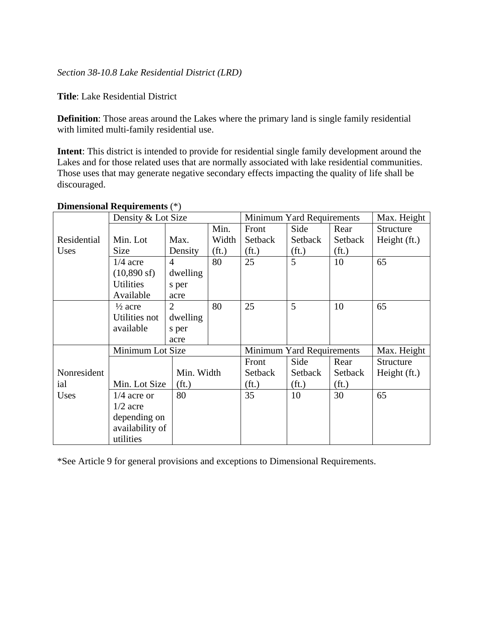*Section 38-10.8 Lake Residential District (LRD)* 

**Title**: Lake Residential District

**Definition**: Those areas around the Lakes where the primary land is single family residential with limited multi-family residential use.

**Intent**: This district is intended to provide for residential single family development around the Lakes and for those related uses that are normally associated with lake residential communities. Those uses that may generate negative secondary effects impacting the quality of life shall be discouraged.

|             | Density & Lot Size    |                   |                   | Minimum Yard Requirements | Max. Height       |                   |                |
|-------------|-----------------------|-------------------|-------------------|---------------------------|-------------------|-------------------|----------------|
|             |                       |                   | Min.              | Front                     | Side              | Rear              | Structure      |
| Residential | Min. Lot              | Max.              | Width             | Setback                   | Setback           | Setback           | Height (ft.)   |
| Uses        | <b>Size</b>           | Density           | (f <sub>t</sub> ) | (f <sub>t</sub> )         | (f <sub>t</sub> ) | (f <sub>t</sub> ) |                |
|             | $1/4$ acre            | $\overline{4}$    | 80                | 25                        | 5                 | 10                | 65             |
|             | $(10,890 \text{ sf})$ | dwelling          |                   |                           |                   |                   |                |
|             | <b>Utilities</b>      | s per             |                   |                           |                   |                   |                |
|             | Available             | acre              |                   |                           |                   |                   |                |
|             | $\frac{1}{2}$ acre    | $\overline{2}$    | 80                | 25                        | 5                 | 10                | 65             |
|             | Utilities not         | dwelling          |                   |                           |                   |                   |                |
|             | available             | s per             |                   |                           |                   |                   |                |
|             |                       | acre              |                   |                           |                   |                   |                |
|             | Minimum Lot Size      |                   |                   | Minimum Yard Requirements |                   |                   | Max. Height    |
|             |                       |                   |                   | Front                     | Side              | Rear              | Structure      |
| Nonresident |                       | Min. Width        |                   | Setback                   | Setback           | Setback           | Height $(ft.)$ |
| ial         | Min. Lot Size         | (f <sub>t</sub> ) |                   | (f <sub>t</sub> )         | (f <sub>t</sub> ) | (f <sub>t</sub> ) |                |
| Uses        | $1/4$ acre or         | 80                |                   | 35                        | 10                | 30                | 65             |
|             | $1/2$ acre            |                   |                   |                           |                   |                   |                |
|             | depending on          |                   |                   |                           |                   |                   |                |
|             | availability of       |                   |                   |                           |                   |                   |                |
|             | utilities             |                   |                   |                           |                   |                   |                |

# **Dimensional Requirements** (\*)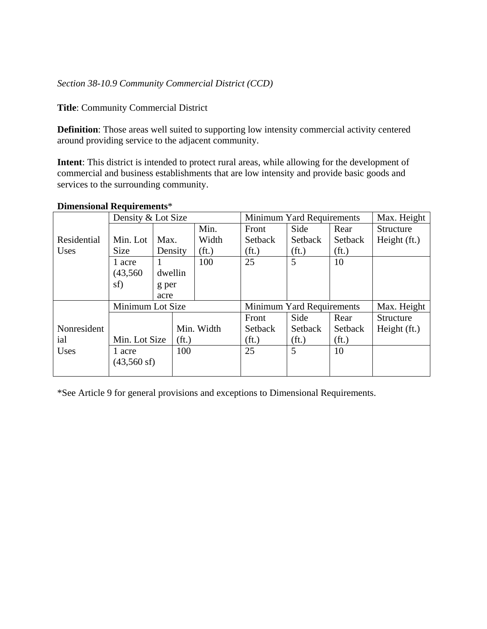# *Section 38-10.9 Community Commercial District (CCD)*

**Title**: Community Commercial District

**Definition**: Those areas well suited to supporting low intensity commercial activity centered around providing service to the adjacent community.

**Intent**: This district is intended to protect rural areas, while allowing for the development of commercial and business establishments that are low intensity and provide basic goods and services to the surrounding community.

|             | Density & Lot Size    |                   |     |                   |                   | Minimum Yard Requirements |                   |                  |  |
|-------------|-----------------------|-------------------|-----|-------------------|-------------------|---------------------------|-------------------|------------------|--|
|             |                       |                   |     | Min.              | Front             | Side                      | Rear              | <b>Structure</b> |  |
| Residential | Min. Lot              | Max.              |     | Width             | Setback           | Setback                   | Setback           | Height (ft.)     |  |
| Uses        | <b>Size</b>           | Density           |     | (f <sub>t</sub> ) | (f <sub>t</sub> ) | (f <sub>t</sub> )         | (f <sub>t</sub> ) |                  |  |
|             | 1 acre                |                   |     | 100               | 25                | 5                         | 10                |                  |  |
|             | (43,560)              | dwellin           |     |                   |                   |                           |                   |                  |  |
|             | sf)                   | g per             |     |                   |                   |                           |                   |                  |  |
|             |                       | acre              |     |                   |                   |                           |                   |                  |  |
|             | Minimum Lot Size      |                   |     |                   |                   | Minimum Yard Requirements |                   |                  |  |
|             |                       |                   |     |                   | Front             | Side                      | Rear              | Structure        |  |
| Nonresident |                       |                   |     | Min. Width        | Setback           | Setback                   | Setback           | Height (ft.)     |  |
| ial         | Min. Lot Size         | (f <sub>t</sub> ) |     |                   | (f <sub>t</sub> ) | (f <sub>t</sub> )         | (f <sub>t</sub> ) |                  |  |
| Uses        | 1 acre                |                   | 100 |                   | 25                | 5                         | 10                |                  |  |
|             | $(43,560 \text{ sf})$ |                   |     |                   |                   |                           |                   |                  |  |
|             |                       |                   |     |                   |                   |                           |                   |                  |  |

# **Dimensional Requirements**\*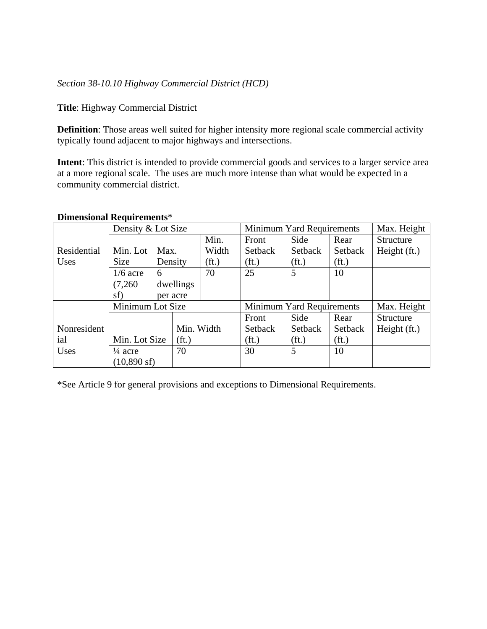# *Section 38-10.10 Highway Commercial District (HCD)*

**Title**: Highway Commercial District

**Definition**: Those areas well suited for higher intensity more regional scale commercial activity typically found adjacent to major highways and intersections.

**Intent**: This district is intended to provide commercial goods and services to a larger service area at a more regional scale. The uses are much more intense than what would be expected in a community commercial district.

#### **Dimensional Requirements**\*

|             | Density & Lot Size       |                                    |            |                   |                           | Minimum Yard Requirements |                   | Max. Height      |
|-------------|--------------------------|------------------------------------|------------|-------------------|---------------------------|---------------------------|-------------------|------------------|
|             |                          |                                    |            | Min.              | Front                     | Side                      | Rear              | <b>Structure</b> |
| Residential | Min. Lot                 | Max.                               |            | Width             | Setback                   | Setback                   | Setback           | Height (ft.)     |
| Uses        | <b>Size</b>              |                                    | Density    | (f <sub>t</sub> ) | (f <sub>t</sub> )         | (f <sub>t</sub> )         | (f <sub>t</sub> ) |                  |
|             | $1/6$ acre               | 6                                  |            | 70                | 25                        | 5                         | 10                |                  |
|             | (7,260)                  |                                    | dwellings  |                   |                           |                           |                   |                  |
|             | sf)                      |                                    | per acre   |                   |                           |                           |                   |                  |
|             | Minimum Lot Size         |                                    |            |                   | Minimum Yard Requirements |                           |                   |                  |
|             |                          |                                    |            |                   | Front                     | Side                      | Rear              | <b>Structure</b> |
| Nonresident |                          |                                    | Min. Width |                   | Setback                   | Setback                   | Setback           | Height (ft.)     |
| ial         |                          | Min. Lot Size<br>(f <sub>t</sub> ) |            |                   | (f <sub>t</sub> )         | (f <sub>t</sub> )         | (f <sub>t</sub> ) |                  |
| Uses        | 70<br>$\frac{1}{4}$ acre |                                    |            |                   | 30                        | 5                         | 10                |                  |
|             | $(10,890 \text{ sf})$    |                                    |            |                   |                           |                           |                   |                  |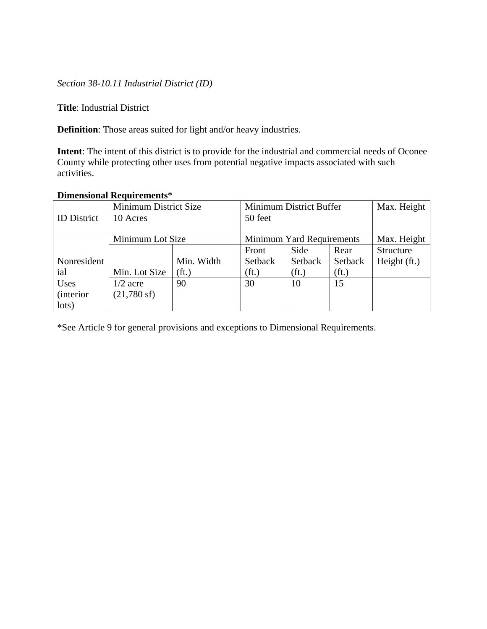*Section 38-10.11 Industrial District (ID)* 

**Title**: Industrial District

**Definition**: Those areas suited for light and/or heavy industries.

**Intent**: The intent of this district is to provide for the industrial and commercial needs of Oconee County while protecting other uses from potential negative impacts associated with such activities.

### **Dimensional Requirements**\*

|                    | Minimum District Size |                   |                           | Minimum District Buffer |                   |              |  |  |
|--------------------|-----------------------|-------------------|---------------------------|-------------------------|-------------------|--------------|--|--|
| <b>ID</b> District | 10 Acres              | 50 feet           |                           |                         |                   |              |  |  |
|                    |                       |                   |                           |                         |                   |              |  |  |
|                    | Minimum Lot Size      |                   | Minimum Yard Requirements | Max. Height             |                   |              |  |  |
|                    |                       |                   | Front                     | Side                    | Rear              | Structure    |  |  |
| Nonresident        |                       | Min. Width        | Setback                   | Setback                 | Setback           | Height (ft.) |  |  |
| ial                | Min. Lot Size         | (f <sub>t</sub> ) | (f <sub>t</sub> )         | (f <sub>t</sub> )       | (f <sub>t</sub> ) |              |  |  |
| Uses               | $1/2$ acre            | 90                | 30                        | 10                      | 15                |              |  |  |
| <i>(interior)</i>  | $(21,780 \text{ sf})$ |                   |                           |                         |                   |              |  |  |
| lots)              |                       |                   |                           |                         |                   |              |  |  |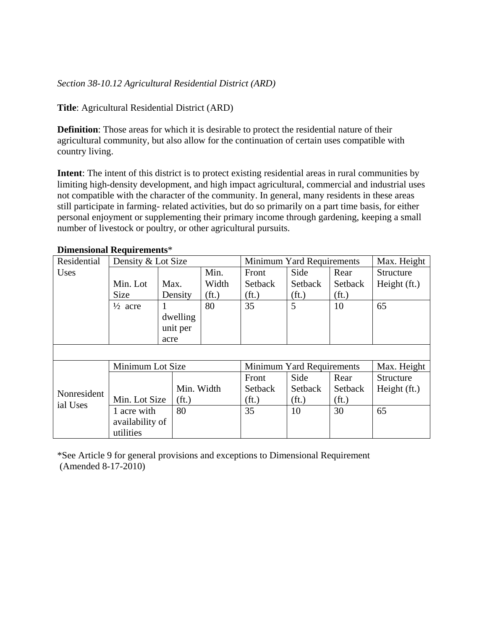# *Section 38-10.12 Agricultural Residential District (ARD)*

### **Title**: Agricultural Residential District (ARD)

**Definition**: Those areas for which it is desirable to protect the residential nature of their agricultural community, but also allow for the continuation of certain uses compatible with country living.

**Intent**: The intent of this district is to protect existing residential areas in rural communities by limiting high-density development, and high impact agricultural, commercial and industrial uses not compatible with the character of the community. In general, many residents in these areas still participate in farming- related activities, but do so primarily on a part time basis, for either personal enjoyment or supplementing their primary income through gardening, keeping a small number of livestock or poultry, or other agricultural pursuits.

| Residential | Density & Lot Size |                   |                   | Minimum Yard Requirements |                   |                   | Max. Height  |
|-------------|--------------------|-------------------|-------------------|---------------------------|-------------------|-------------------|--------------|
| Uses        |                    |                   | Min.              | Front                     | Side              | Rear              | Structure    |
|             | Min. Lot           | Max.              | Width             | Setback                   | Setback           | Setback           | Height (ft.) |
|             | <b>Size</b>        | Density           | (f <sub>t</sub> ) | (f <sub>t</sub> )         | (f <sub>t</sub> ) | (f <sub>t</sub> ) |              |
|             | $\frac{1}{2}$ acre |                   | 80                | 35                        | 5                 | 10                | 65           |
|             |                    | dwelling          |                   |                           |                   |                   |              |
|             |                    | unit per          |                   |                           |                   |                   |              |
|             | acre               |                   |                   |                           |                   |                   |              |
|             |                    |                   |                   |                           |                   |                   |              |
|             | Minimum Lot Size   |                   |                   | Minimum Yard Requirements |                   |                   | Max. Height  |
|             |                    |                   |                   | Front                     | Side              | Rear              | Structure    |
| Nonresident |                    | Min. Width        |                   | Setback                   | Setback           | Setback           | Height (ft.) |
| ial Uses    | Min. Lot Size      | (f <sub>t</sub> ) |                   | (f <sub>t</sub> )         | (f <sub>t</sub> ) | (f <sub>t</sub> ) |              |
|             | 1 acre with        | 80                |                   | 35                        | 10                | 30                | 65           |
|             | availability of    |                   |                   |                           |                   |                   |              |
|             | utilities          |                   |                   |                           |                   |                   |              |

### **Dimensional Requirements**\*

\*See Article 9 for general provisions and exceptions to Dimensional Requirement (Amended 8-17-2010)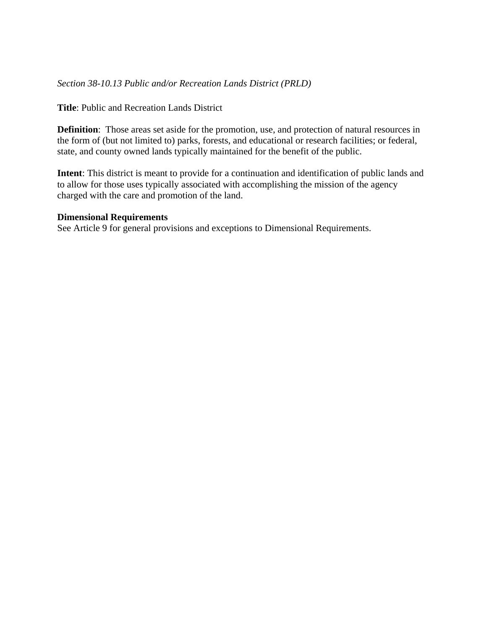## *Section 38-10.13 Public and/or Recreation Lands District (PRLD)*

**Title**: Public and Recreation Lands District

**Definition**: Those areas set aside for the promotion, use, and protection of natural resources in the form of (but not limited to) parks, forests, and educational or research facilities; or federal, state, and county owned lands typically maintained for the benefit of the public.

**Intent**: This district is meant to provide for a continuation and identification of public lands and to allow for those uses typically associated with accomplishing the mission of the agency charged with the care and promotion of the land.

#### **Dimensional Requirements**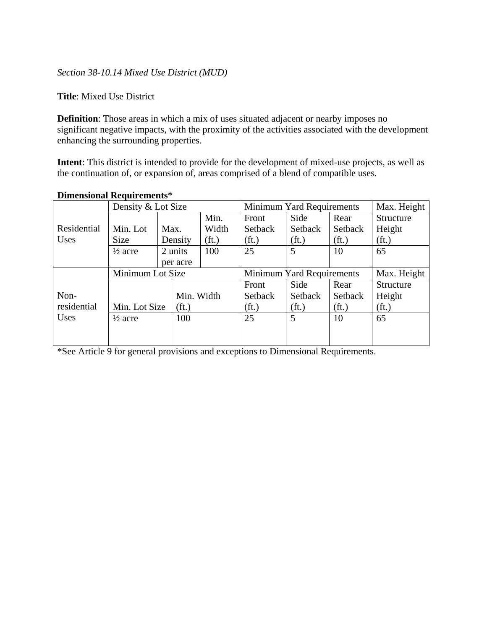## *Section 38-10.14 Mixed Use District (MUD)*

### **Title**: Mixed Use District

**Definition**: Those areas in which a mix of uses situated adjacent or nearby imposes no significant negative impacts, with the proximity of the activities associated with the development enhancing the surrounding properties.

**Intent**: This district is intended to provide for the development of mixed-use projects, as well as the continuation of, or expansion of, areas comprised of a blend of compatible uses.

|             | Density & Lot Size |  |                   |                   |                   | Minimum Yard Requirements |                   |                   |  |
|-------------|--------------------|--|-------------------|-------------------|-------------------|---------------------------|-------------------|-------------------|--|
|             | Min. Lot<br>Max.   |  |                   | Min.              | Front             | Side                      | Rear              | <b>Structure</b>  |  |
| Residential |                    |  |                   | Width             | Setback           | Setback                   | Setback           | Height            |  |
| <b>Uses</b> | Size               |  | Density           | (f <sub>t</sub> ) | (f <sub>t</sub> ) | (f <sub>t</sub> )         | (f <sub>t</sub> ) | (f <sub>t</sub> ) |  |
|             | $\frac{1}{2}$ acre |  | 2 units           | 100               | 25                | 5                         | 10                | 65                |  |
|             | per acre           |  |                   |                   |                   |                           |                   |                   |  |
|             | Minimum Lot Size   |  |                   |                   |                   | Minimum Yard Requirements |                   | Max. Height       |  |
|             |                    |  |                   |                   | Front             | Side                      | Rear              | Structure         |  |
| Non-        |                    |  | Min. Width        |                   | Setback           | Setback                   | Setback           | Height            |  |
| residential | Min. Lot Size      |  | (f <sub>t</sub> ) |                   | (f <sub>t</sub> ) | (f <sub>t</sub> )         | (f <sub>t</sub> ) | (f <sub>t</sub> ) |  |
| <b>Uses</b> | $\frac{1}{2}$ acre |  | 100               |                   | 25                | 5                         | 10                | 65                |  |
|             |                    |  |                   |                   |                   |                           |                   |                   |  |
|             |                    |  |                   |                   |                   |                           |                   |                   |  |

### **Dimensional Requirements**\*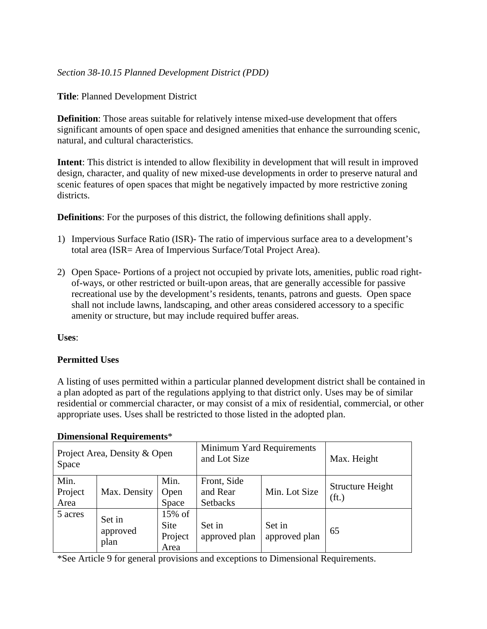# *Section 38-10.15 Planned Development District (PDD)*

**Title**: Planned Development District

**Definition**: Those areas suitable for relatively intense mixed-use development that offers significant amounts of open space and designed amenities that enhance the surrounding scenic, natural, and cultural characteristics.

**Intent**: This district is intended to allow flexibility in development that will result in improved design, character, and quality of new mixed-use developments in order to preserve natural and scenic features of open spaces that might be negatively impacted by more restrictive zoning districts.

**Definitions**: For the purposes of this district, the following definitions shall apply.

- 1) Impervious Surface Ratio (ISR)- The ratio of impervious surface area to a development's total area (ISR= Area of Impervious Surface/Total Project Area).
- 2) Open Space- Portions of a project not occupied by private lots, amenities, public road rightof-ways, or other restricted or built-upon areas, that are generally accessible for passive recreational use by the development's residents, tenants, patrons and guests. Open space shall not include lawns, landscaping, and other areas considered accessory to a specific amenity or structure, but may include required buffer areas.

**Uses**:

# **Permitted Uses**

A listing of uses permitted within a particular planned development district shall be contained in a plan adopted as part of the regulations applying to that district only. Uses may be of similar residential or commercial character, or may consist of a mix of residential, commercial, or other appropriate uses. Uses shall be restricted to those listed in the adopted plan.

| Project Area, Density & Open<br>Space |                            |                                                      | Minimum Yard Requirements<br>and Lot Size  |                         | Max. Height                                  |
|---------------------------------------|----------------------------|------------------------------------------------------|--------------------------------------------|-------------------------|----------------------------------------------|
| Min.<br>Project<br>Area               | Max. Density               | Min.<br>Open<br>Space                                | Front, Side<br>and Rear<br><b>Setbacks</b> | Min. Lot Size           | <b>Structure Height</b><br>(f <sub>t</sub> ) |
| 5 acres                               | Set in<br>approved<br>plan | $15\% \text{ of }$<br><b>Site</b><br>Project<br>Area | Set in<br>approved plan                    | Set in<br>approved plan | 65                                           |

#### **Dimensional Requirements**\*